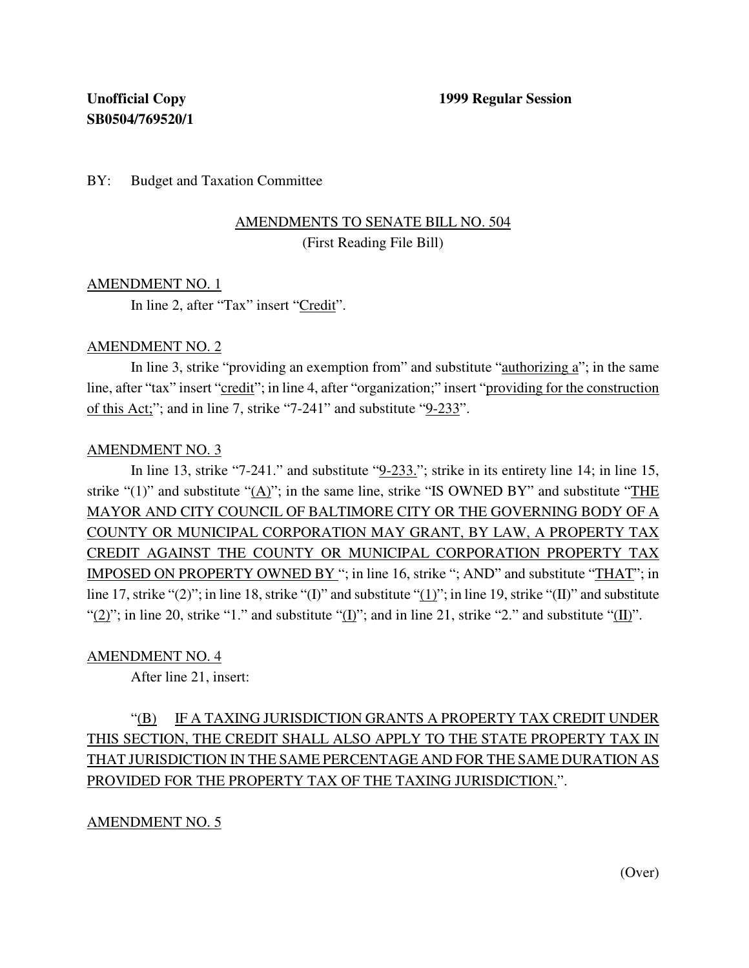BY: Budget and Taxation Committee

# AMENDMENTS TO SENATE BILL NO. 504 (First Reading File Bill)

# AMENDMENT NO. 1

In line 2, after "Tax" insert "Credit".

# AMENDMENT NO. 2

In line 3, strike "providing an exemption from" and substitute "authorizing a"; in the same line, after "tax" insert "credit"; in line 4, after "organization;" insert "providing for the construction of this Act;"; and in line 7, strike "7-241" and substitute "9-233".

#### AMENDMENT NO. 3

In line 13, strike "7-241." and substitute "9-233."; strike in its entirety line 14; in line 15, strike "(1)" and substitute "(A)"; in the same line, strike "IS OWNED BY" and substitute "THE MAYOR AND CITY COUNCIL OF BALTIMORE CITY OR THE GOVERNING BODY OF A COUNTY OR MUNICIPAL CORPORATION MAY GRANT, BY LAW, A PROPERTY TAX CREDIT AGAINST THE COUNTY OR MUNICIPAL CORPORATION PROPERTY TAX IMPOSED ON PROPERTY OWNED BY "; in line 16, strike "; AND" and substitute "THAT"; in line 17, strike "(2)"; in line 18, strike "(I)" and substitute " $(1)$ "; in line 19, strike "(II)" and substitute "(2)"; in line 20, strike "1." and substitute "(I)"; and in line 21, strike "2." and substitute "(II)".

# AMENDMENT NO. 4

After line 21, insert:

# "(B) IF A TAXING JURISDICTION GRANTS A PROPERTY TAX CREDIT UNDER THIS SECTION, THE CREDIT SHALL ALSO APPLY TO THE STATE PROPERTY TAX IN THAT JURISDICTION IN THE SAME PERCENTAGE AND FOR THE SAME DURATION AS PROVIDED FOR THE PROPERTY TAX OF THE TAXING JURISDICTION.".

# AMENDMENT NO. 5